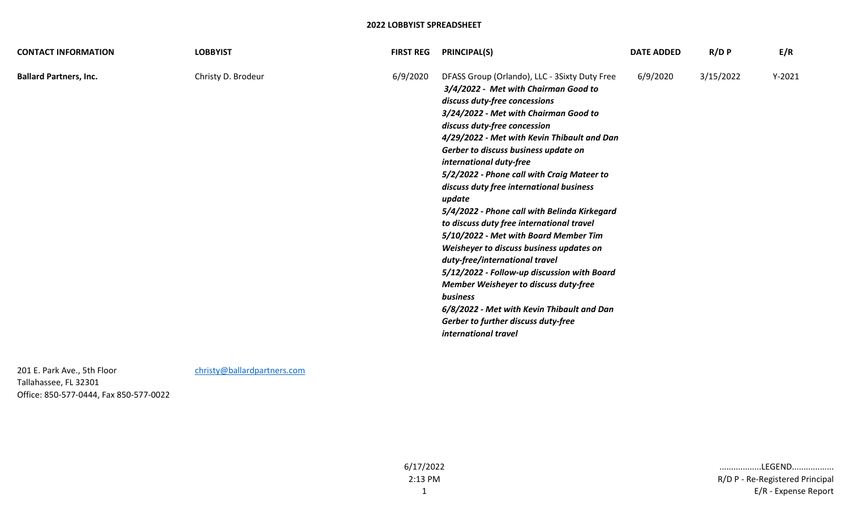| <b>CONTACT INFORMATION</b>    | <b>LOBBYIST</b>    | <b>FIRST REG</b> | <b>PRINCIPAL(S)</b>                                                                                                                                                                                                                                                                                                                                                                                                                                                                                                                                                                                                                                                                                                                                                                                                                                        | <b>DATE ADDED</b> | R/D P     | E/R      |
|-------------------------------|--------------------|------------------|------------------------------------------------------------------------------------------------------------------------------------------------------------------------------------------------------------------------------------------------------------------------------------------------------------------------------------------------------------------------------------------------------------------------------------------------------------------------------------------------------------------------------------------------------------------------------------------------------------------------------------------------------------------------------------------------------------------------------------------------------------------------------------------------------------------------------------------------------------|-------------------|-----------|----------|
| <b>Ballard Partners, Inc.</b> | Christy D. Brodeur | 6/9/2020         | DFASS Group (Orlando), LLC - 3Sixty Duty Free<br>3/4/2022 - Met with Chairman Good to<br>discuss duty-free concessions<br>3/24/2022 - Met with Chairman Good to<br>discuss duty-free concession<br>4/29/2022 - Met with Kevin Thibault and Dan<br>Gerber to discuss business update on<br>international duty-free<br>5/2/2022 - Phone call with Craig Mateer to<br>discuss duty free international business<br>update<br>5/4/2022 - Phone call with Belinda Kirkegard<br>to discuss duty free international travel<br>5/10/2022 - Met with Board Member Tim<br>Weisheyer to discuss business updates on<br>duty-free/international travel<br>5/12/2022 - Follow-up discussion with Board<br>Member Weisheyer to discuss duty-free<br>business<br>6/8/2022 - Met with Kevin Thibault and Dan<br>Gerber to further discuss duty-free<br>international travel | 6/9/2020          | 3/15/2022 | $Y-2021$ |

201 E. Park Ave., 5th Floor [christy@ballardpartners.com](mailto:christy@ballardpartners.com) Tallahassee, FL 32301 Office: 850-577-0444, Fax 850-577-0022

6/17/2022 2:13 PM

1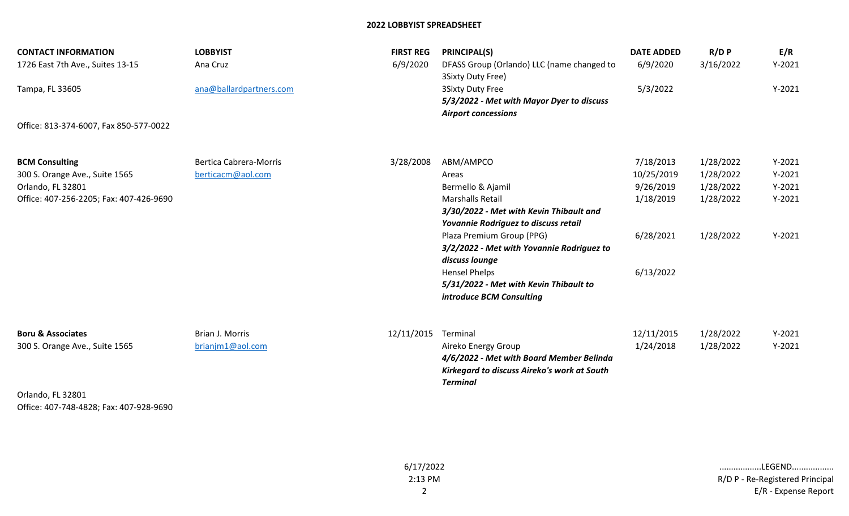| <b>CONTACT INFORMATION</b><br>1726 East 7th Ave., Suites 13-15               | <b>LOBBYIST</b><br>Ana Cruz                        | <b>FIRST REG</b><br>6/9/2020 | <b>PRINCIPAL(S)</b><br>DFASS Group (Orlando) LLC (name changed to                                                                 | <b>DATE ADDED</b><br>6/9/2020        | $R/D$ $P$<br>3/16/2022              | E/R<br>$Y-2021$                  |
|------------------------------------------------------------------------------|----------------------------------------------------|------------------------------|-----------------------------------------------------------------------------------------------------------------------------------|--------------------------------------|-------------------------------------|----------------------------------|
| Tampa, FL 33605                                                              | ana@ballardpartners.com                            |                              | 3Sixty Duty Free)<br><b>3Sixty Duty Free</b><br>5/3/2022 - Met with Mayor Dyer to discuss<br><b>Airport concessions</b>           | 5/3/2022                             |                                     | $Y-2021$                         |
| Office: 813-374-6007, Fax 850-577-0022                                       |                                                    |                              |                                                                                                                                   |                                      |                                     |                                  |
| <b>BCM Consulting</b><br>300 S. Orange Ave., Suite 1565<br>Orlando, FL 32801 | <b>Bertica Cabrera-Morris</b><br>berticacm@aol.com | 3/28/2008                    | ABM/AMPCO<br>Areas<br>Bermello & Ajamil                                                                                           | 7/18/2013<br>10/25/2019<br>9/26/2019 | 1/28/2022<br>1/28/2022<br>1/28/2022 | $Y-2021$<br>$Y-2021$<br>$Y-2021$ |
| Office: 407-256-2205; Fax: 407-426-9690                                      |                                                    |                              | <b>Marshalls Retail</b><br>3/30/2022 - Met with Kevin Thibault and<br>Yovannie Rodriguez to discuss retail                        | 1/18/2019<br>6/28/2021               | 1/28/2022                           | $Y-2021$<br>$Y-2021$             |
|                                                                              |                                                    |                              | Plaza Premium Group (PPG)<br>3/2/2022 - Met with Yovannie Rodriguez to<br>discuss lounge                                          |                                      | 1/28/2022                           |                                  |
|                                                                              |                                                    |                              | <b>Hensel Phelps</b><br>5/31/2022 - Met with Kevin Thibault to<br>introduce BCM Consulting                                        | 6/13/2022                            |                                     |                                  |
| <b>Boru &amp; Associates</b>                                                 | Brian J. Morris                                    | 12/11/2015                   | Terminal                                                                                                                          | 12/11/2015                           | 1/28/2022                           | $Y-2021$                         |
| 300 S. Orange Ave., Suite 1565                                               | brianjm1@aol.com                                   |                              | Aireko Energy Group<br>4/6/2022 - Met with Board Member Belinda<br>Kirkegard to discuss Aireko's work at South<br><b>Terminal</b> | 1/24/2018                            | 1/28/2022                           | $Y-2021$                         |
| Orlando, FL 32801                                                            |                                                    |                              |                                                                                                                                   |                                      |                                     |                                  |

Office: 407-748-4828; Fax: 407-928-9690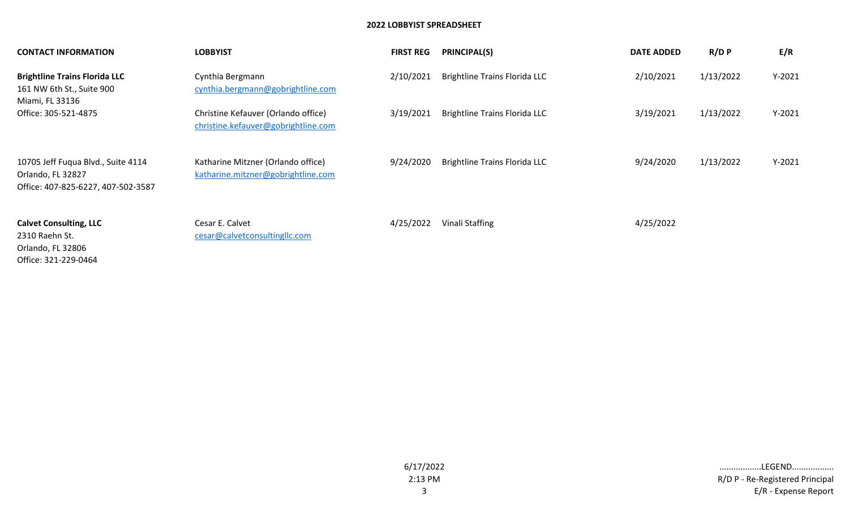| <b>CONTACT INFORMATION</b>                                                                    | <b>LOBBYIST</b>                                                            | <b>FIRST REG</b> | <b>PRINCIPAL(S)</b>                  | <b>DATE ADDED</b> | $R/D$ $P$ | E/R      |
|-----------------------------------------------------------------------------------------------|----------------------------------------------------------------------------|------------------|--------------------------------------|-------------------|-----------|----------|
| <b>Brightline Trains Florida LLC</b><br>161 NW 6th St., Suite 900<br>Miami, FL 33136          | Cynthia Bergmann<br>cynthia.bergmann@gobrightline.com                      | 2/10/2021        | <b>Brightline Trains Florida LLC</b> | 2/10/2021         | 1/13/2022 | $Y-2021$ |
| Office: 305-521-4875                                                                          | Christine Kefauver (Orlando office)<br>christine.kefauver@gobrightline.com | 3/19/2021        | <b>Brightline Trains Florida LLC</b> | 3/19/2021         | 1/13/2022 | $Y-2021$ |
| 10705 Jeff Fuqua Blvd., Suite 4114<br>Orlando, FL 32827<br>Office: 407-825-6227, 407-502-3587 | Katharine Mitzner (Orlando office)<br>katharine.mitzner@gobrightline.com   | 9/24/2020        | <b>Brightline Trains Florida LLC</b> | 9/24/2020         | 1/13/2022 | $Y-2021$ |
| <b>Calvet Consulting, LLC</b><br>2310 Raehn St.<br>Orlando, FL 32806<br>Office: 321-229-0464  | Cesar E. Calvet<br>cesar@calvetconsultingllc.com                           | 4/25/2022        | Vinali Staffing                      | 4/25/2022         |           |          |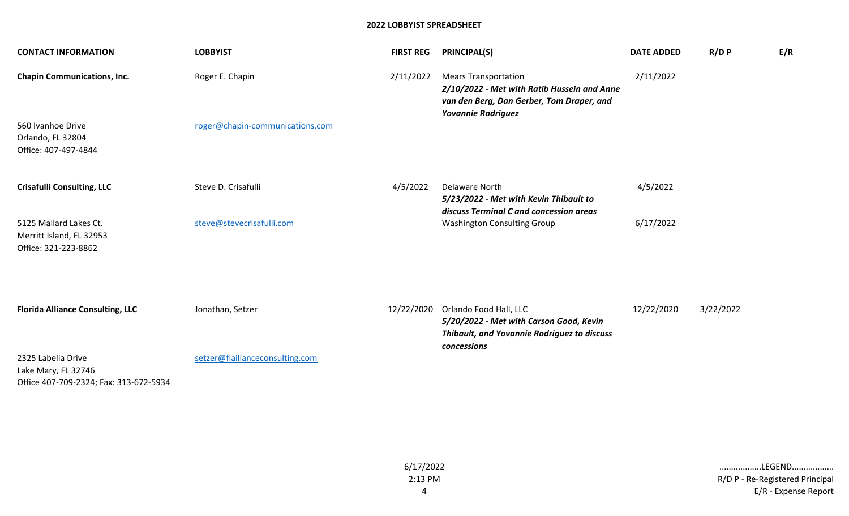| <b>CONTACT INFORMATION</b>                                                          | <b>LOBBYIST</b>                 | <b>FIRST REG</b> | <b>PRINCIPAL(S)</b>                                                                                                                                  | <b>DATE ADDED</b> | $R/D$ $P$ | E/R |
|-------------------------------------------------------------------------------------|---------------------------------|------------------|------------------------------------------------------------------------------------------------------------------------------------------------------|-------------------|-----------|-----|
| <b>Chapin Communications, Inc.</b>                                                  | Roger E. Chapin                 | 2/11/2022        | <b>Mears Transportation</b><br>2/10/2022 - Met with Ratib Hussein and Anne<br>van den Berg, Dan Gerber, Tom Draper, and<br><b>Yovannie Rodriguez</b> | 2/11/2022         |           |     |
| 560 Ivanhoe Drive<br>Orlando, FL 32804<br>Office: 407-497-4844                      | roger@chapin-communications.com |                  |                                                                                                                                                      |                   |           |     |
| <b>Crisafulli Consulting, LLC</b>                                                   | Steve D. Crisafulli             | 4/5/2022         | <b>Delaware North</b><br>5/23/2022 - Met with Kevin Thibault to<br>discuss Terminal C and concession areas                                           | 4/5/2022          |           |     |
| 5125 Mallard Lakes Ct.<br>Merritt Island, FL 32953<br>Office: 321-223-8862          | steve@stevecrisafulli.com       |                  | <b>Washington Consulting Group</b>                                                                                                                   | 6/17/2022         |           |     |
|                                                                                     |                                 |                  |                                                                                                                                                      |                   |           |     |
| <b>Florida Alliance Consulting, LLC</b>                                             | Jonathan, Setzer                |                  | 12/22/2020 Orlando Food Hall, LLC<br>5/20/2022 - Met with Carson Good, Kevin<br>Thibault, and Yovannie Rodriguez to discuss<br>concessions           | 12/22/2020        | 3/22/2022 |     |
| 2325 Labelia Drive<br>Lake Mary, FL 32746<br>Office 407-709-2324; Fax: 313-672-5934 | setzer@flallianceconsulting.com |                  |                                                                                                                                                      |                   |           |     |

4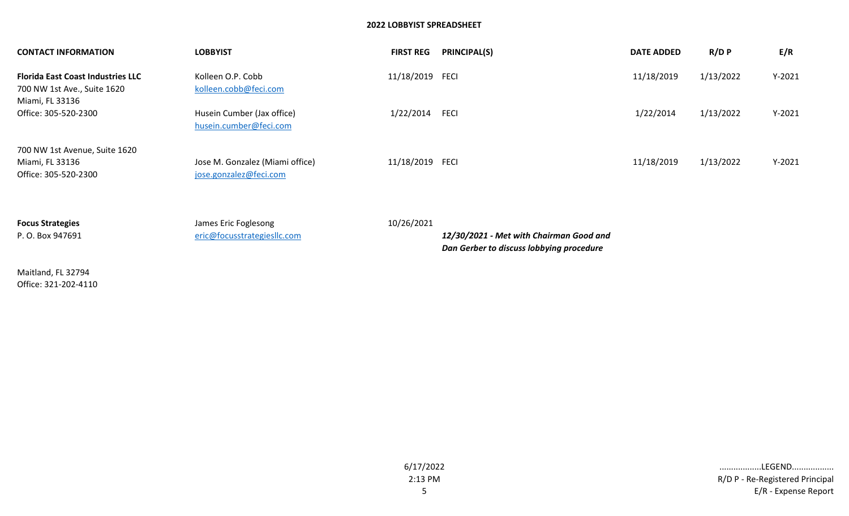| <b>CONTACT INFORMATION</b>                                                                 | <b>LOBBYIST</b>                                           | <b>FIRST REG</b> | <b>PRINCIPAL(S)</b>                     | <b>DATE ADDED</b> | $R/D$ $P$ | E/R      |
|--------------------------------------------------------------------------------------------|-----------------------------------------------------------|------------------|-----------------------------------------|-------------------|-----------|----------|
| <b>Florida East Coast Industries LLC</b><br>700 NW 1st Ave., Suite 1620<br>Miami, FL 33136 | Kolleen O.P. Cobb<br>kolleen.cobb@feci.com                | 11/18/2019 FECI  |                                         | 11/18/2019        | 1/13/2022 | $Y-2021$ |
| Office: 305-520-2300                                                                       | Husein Cumber (Jax office)<br>husein.cumber@feci.com      | 1/22/2014        | <b>FECI</b>                             | 1/22/2014         | 1/13/2022 | $Y-2021$ |
| 700 NW 1st Avenue, Suite 1620<br>Miami, FL 33136<br>Office: 305-520-2300                   | Jose M. Gonzalez (Miami office)<br>jose.gonzalez@feci.com | 11/18/2019 FECI  |                                         | 11/18/2019        | 1/13/2022 | $Y-2021$ |
| <b>Focus Strategies</b><br>P. O. Box 947691                                                | James Eric Foglesong<br>eric@focusstrategiesllc.com       | 10/26/2021       | 12/30/2021 - Met with Chairman Good and |                   |           |          |

Maitland, FL 32794 Office: 321-202-4110 *Dan Gerber to discuss lobbying procedure*

6/17/2022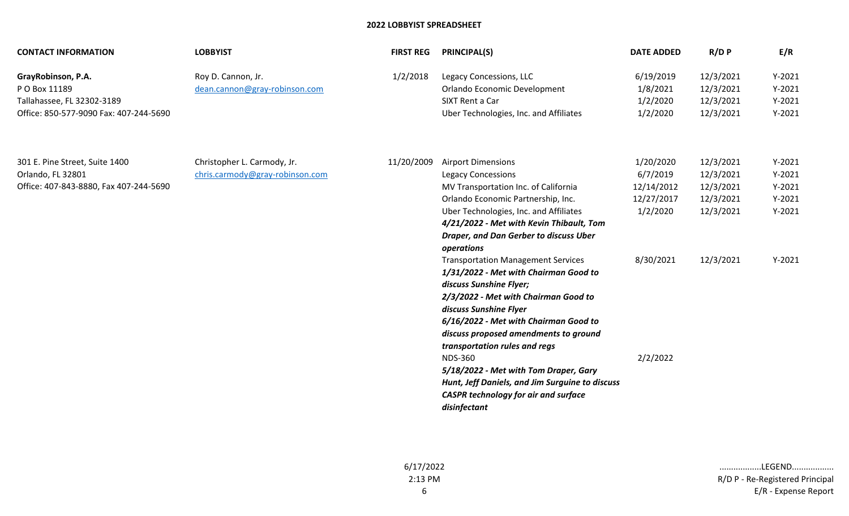| <b>CONTACT INFORMATION</b>                                                                                  | <b>LOBBYIST</b>                                                | <b>FIRST REG</b> | <b>PRINCIPAL(S)</b>                                                                                                                                                                                                                                                                                                                                                                                                                                                                                                                                                                                                                                                                                                                                                   | <b>DATE ADDED</b>                                                                      | $R/D$ $P$                                                                  | E/R                                                                  |
|-------------------------------------------------------------------------------------------------------------|----------------------------------------------------------------|------------------|-----------------------------------------------------------------------------------------------------------------------------------------------------------------------------------------------------------------------------------------------------------------------------------------------------------------------------------------------------------------------------------------------------------------------------------------------------------------------------------------------------------------------------------------------------------------------------------------------------------------------------------------------------------------------------------------------------------------------------------------------------------------------|----------------------------------------------------------------------------------------|----------------------------------------------------------------------------|----------------------------------------------------------------------|
| GrayRobinson, P.A.<br>P O Box 11189<br>Tallahassee, FL 32302-3189<br>Office: 850-577-9090 Fax: 407-244-5690 | Roy D. Cannon, Jr.<br>dean.cannon@gray-robinson.com            | 1/2/2018         | Legacy Concessions, LLC<br>Orlando Economic Development<br>SIXT Rent a Car<br>Uber Technologies, Inc. and Affiliates                                                                                                                                                                                                                                                                                                                                                                                                                                                                                                                                                                                                                                                  | 6/19/2019<br>1/8/2021<br>1/2/2020<br>1/2/2020                                          | 12/3/2021<br>12/3/2021<br>12/3/2021<br>12/3/2021                           | $Y-2021$<br>$Y-2021$<br>$Y-2021$<br>$Y-2021$                         |
| 301 E. Pine Street, Suite 1400<br>Orlando, FL 32801<br>Office: 407-843-8880, Fax 407-244-5690               | Christopher L. Carmody, Jr.<br>chris.carmody@gray-robinson.com | 11/20/2009       | <b>Airport Dimensions</b><br><b>Legacy Concessions</b><br>MV Transportation Inc. of California<br>Orlando Economic Partnership, Inc.<br>Uber Technologies, Inc. and Affiliates<br>4/21/2022 - Met with Kevin Thibault, Tom<br>Draper, and Dan Gerber to discuss Uber<br>operations<br><b>Transportation Management Services</b><br>1/31/2022 - Met with Chairman Good to<br>discuss Sunshine Flyer;<br>2/3/2022 - Met with Chairman Good to<br>discuss Sunshine Flyer<br>6/16/2022 - Met with Chairman Good to<br>discuss proposed amendments to ground<br>transportation rules and regs<br><b>NDS-360</b><br>5/18/2022 - Met with Tom Draper, Gary<br>Hunt, Jeff Daniels, and Jim Surguine to discuss<br><b>CASPR technology for air and surface</b><br>disinfectant | 1/20/2020<br>6/7/2019<br>12/14/2012<br>12/27/2017<br>1/2/2020<br>8/30/2021<br>2/2/2022 | 12/3/2021<br>12/3/2021<br>12/3/2021<br>12/3/2021<br>12/3/2021<br>12/3/2021 | $Y-2021$<br>$Y-2021$<br>$Y-2021$<br>$Y-2021$<br>$Y-2021$<br>$Y-2021$ |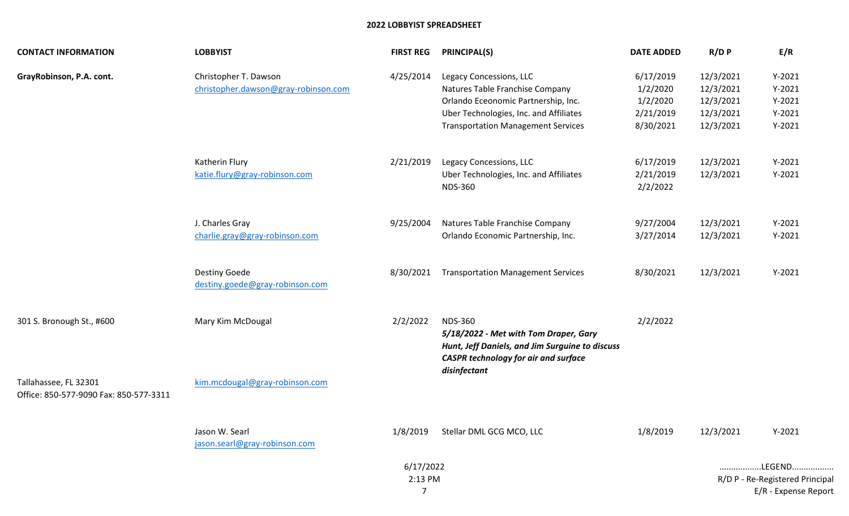| <b>CONTACT INFORMATION</b>                                      | <b>LOBBYIST</b>                                               | <b>FIRST REG</b> | <b>PRINCIPAL(S)</b>                                                                                                                                                                      | <b>DATE ADDED</b>                                           | $R/D$ $P$                                                     | E/R                                                      |  |
|-----------------------------------------------------------------|---------------------------------------------------------------|------------------|------------------------------------------------------------------------------------------------------------------------------------------------------------------------------------------|-------------------------------------------------------------|---------------------------------------------------------------|----------------------------------------------------------|--|
| GrayRobinson, P.A. cont.                                        | Christopher T. Dawson<br>christopher.dawson@gray-robinson.com | 4/25/2014        | Legacy Concessions, LLC<br>Natures Table Franchise Company<br>Orlando Eceonomic Partnership, Inc.<br>Uber Technologies, Inc. and Affiliates<br><b>Transportation Management Services</b> | 6/17/2019<br>1/2/2020<br>1/2/2020<br>2/21/2019<br>8/30/2021 | 12/3/2021<br>12/3/2021<br>12/3/2021<br>12/3/2021<br>12/3/2021 | $Y-2021$<br>$Y-2021$<br>$Y-2021$<br>$Y-2021$<br>$Y-2021$ |  |
|                                                                 | Katherin Flury<br>katie.flury@gray-robinson.com               | 2/21/2019        | Legacy Concessions, LLC<br>Uber Technologies, Inc. and Affiliates<br><b>NDS-360</b>                                                                                                      | 6/17/2019<br>2/21/2019<br>2/2/2022                          | 12/3/2021<br>12/3/2021                                        | $Y-2021$<br>$Y-2021$                                     |  |
|                                                                 | J. Charles Gray<br>charlie.gray@gray-robinson.com             | 9/25/2004        | Natures Table Franchise Company<br>Orlando Economic Partnership, Inc.                                                                                                                    | 9/27/2004<br>3/27/2014                                      | 12/3/2021<br>12/3/2021                                        | $Y-2021$<br>$Y-2021$                                     |  |
|                                                                 | <b>Destiny Goede</b><br>destiny.goede@gray-robinson.com       | 8/30/2021        | <b>Transportation Management Services</b>                                                                                                                                                | 8/30/2021                                                   | 12/3/2021                                                     | $Y-2021$                                                 |  |
| 301 S. Bronough St., #600                                       | Mary Kim McDougal                                             | 2/2/2022         | <b>NDS-360</b><br>5/18/2022 - Met with Tom Draper, Gary<br>Hunt, Jeff Daniels, and Jim Surguine to discuss<br><b>CASPR technology for air and surface</b><br>disinfectant                | 2/2/2022                                                    |                                                               |                                                          |  |
| Tallahassee, FL 32301<br>Office: 850-577-9090 Fax: 850-577-3311 | kim.mcdougal@gray-robinson.com                                |                  |                                                                                                                                                                                          |                                                             |                                                               |                                                          |  |
|                                                                 | Jason W. Searl<br>jason.searl@gray-robinson.com               | 1/8/2019         | Stellar DML GCG MCO, LLC                                                                                                                                                                 | 1/8/2019                                                    | 12/3/2021                                                     | $Y-2021$                                                 |  |
|                                                                 |                                                               | 6/17/2022        |                                                                                                                                                                                          |                                                             |                                                               | LEGEND                                                   |  |
|                                                                 | 2:13 PM<br>$\overline{7}$                                     |                  |                                                                                                                                                                                          |                                                             |                                                               |                                                          |  |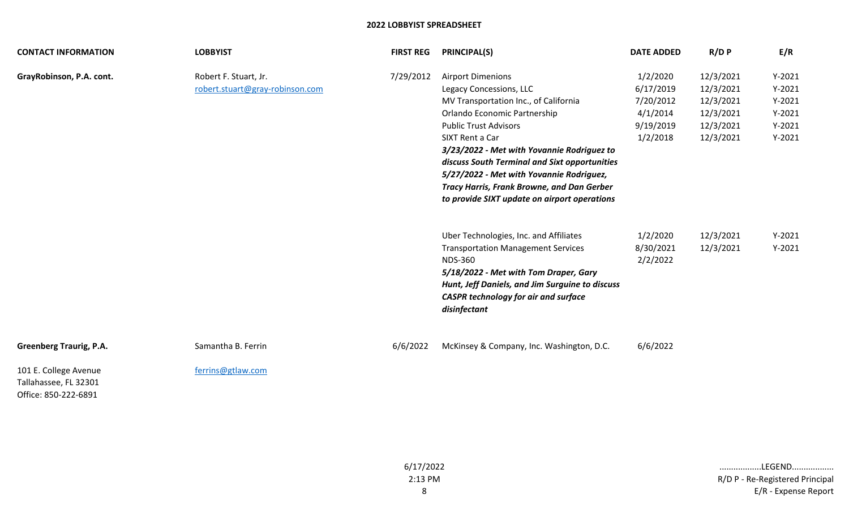| <b>CONTACT INFORMATION</b>                                             | <b>LOBBYIST</b>                                          | <b>FIRST REG</b> | <b>PRINCIPAL(S)</b>                                                                                                                                                                                                                                                                                                                                                                                                             | <b>DATE ADDED</b>                                                       | $R/D$ $P$                                                                  | E/R                                                                  |
|------------------------------------------------------------------------|----------------------------------------------------------|------------------|---------------------------------------------------------------------------------------------------------------------------------------------------------------------------------------------------------------------------------------------------------------------------------------------------------------------------------------------------------------------------------------------------------------------------------|-------------------------------------------------------------------------|----------------------------------------------------------------------------|----------------------------------------------------------------------|
| GrayRobinson, P.A. cont.                                               | Robert F. Stuart, Jr.<br>robert.stuart@gray-robinson.com | 7/29/2012        | <b>Airport Dimenions</b><br>Legacy Concessions, LLC<br>MV Transportation Inc., of California<br>Orlando Economic Partnership<br><b>Public Trust Advisors</b><br>SIXT Rent a Car<br>3/23/2022 - Met with Yovannie Rodriguez to<br>discuss South Terminal and Sixt opportunities<br>5/27/2022 - Met with Yovannie Rodriguez,<br><b>Tracy Harris, Frank Browne, and Dan Gerber</b><br>to provide SIXT update on airport operations | 1/2/2020<br>6/17/2019<br>7/20/2012<br>4/1/2014<br>9/19/2019<br>1/2/2018 | 12/3/2021<br>12/3/2021<br>12/3/2021<br>12/3/2021<br>12/3/2021<br>12/3/2021 | $Y-2021$<br>$Y-2021$<br>$Y-2021$<br>$Y-2021$<br>$Y-2021$<br>$Y-2021$ |
|                                                                        |                                                          |                  | Uber Technologies, Inc. and Affiliates<br><b>Transportation Management Services</b><br><b>NDS-360</b><br>5/18/2022 - Met with Tom Draper, Gary<br>Hunt, Jeff Daniels, and Jim Surguine to discuss<br><b>CASPR technology for air and surface</b><br>disinfectant                                                                                                                                                                | 1/2/2020<br>8/30/2021<br>2/2/2022                                       | 12/3/2021<br>12/3/2021                                                     | $Y-2021$<br>$Y-2021$                                                 |
| <b>Greenberg Traurig, P.A.</b>                                         | Samantha B. Ferrin                                       | 6/6/2022         | McKinsey & Company, Inc. Washington, D.C.                                                                                                                                                                                                                                                                                                                                                                                       | 6/6/2022                                                                |                                                                            |                                                                      |
| 101 E. College Avenue<br>Tallahassee, FL 32301<br>Office: 850-222-6891 | ferrins@gtlaw.com                                        |                  |                                                                                                                                                                                                                                                                                                                                                                                                                                 |                                                                         |                                                                            |                                                                      |

8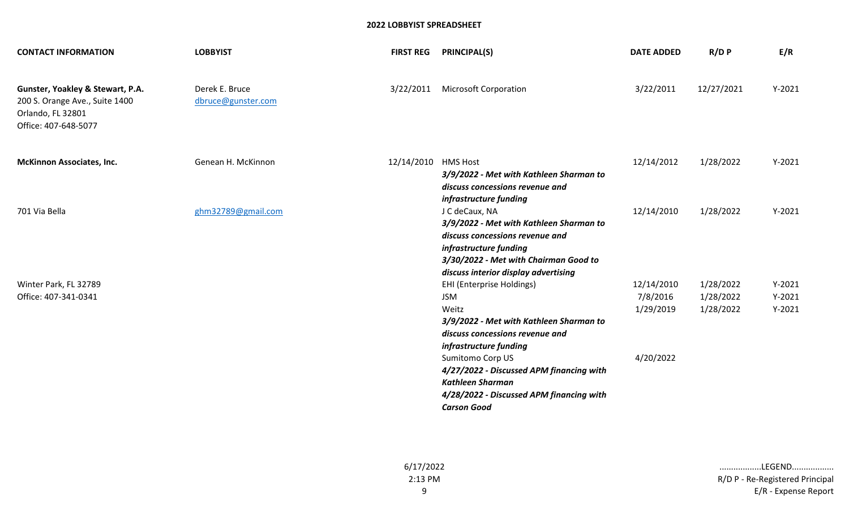| <b>CONTACT INFORMATION</b>                                                                                      | <b>LOBBYIST</b>                      | <b>FIRST REG</b>    | <b>PRINCIPAL(S)</b>                                                                                                                                                                                     | <b>DATE ADDED</b> | $R/D$ $P$  | E/R      |
|-----------------------------------------------------------------------------------------------------------------|--------------------------------------|---------------------|---------------------------------------------------------------------------------------------------------------------------------------------------------------------------------------------------------|-------------------|------------|----------|
| Gunster, Yoakley & Stewart, P.A.<br>200 S. Orange Ave., Suite 1400<br>Orlando, FL 32801<br>Office: 407-648-5077 | Derek E. Bruce<br>dbruce@gunster.com | 3/22/2011           | <b>Microsoft Corporation</b>                                                                                                                                                                            | 3/22/2011         | 12/27/2021 | $Y-2021$ |
| <b>McKinnon Associates, Inc.</b>                                                                                | Genean H. McKinnon                   | 12/14/2010 HMS Host | 3/9/2022 - Met with Kathleen Sharman to<br>discuss concessions revenue and<br>infrastructure funding                                                                                                    | 12/14/2012        | 1/28/2022  | $Y-2021$ |
| 701 Via Bella                                                                                                   | ghm32789@gmail.com                   |                     | J C deCaux, NA<br>3/9/2022 - Met with Kathleen Sharman to<br>discuss concessions revenue and<br>infrastructure funding<br>3/30/2022 - Met with Chairman Good to<br>discuss interior display advertising | 12/14/2010        | 1/28/2022  | $Y-2021$ |
| Winter Park, FL 32789                                                                                           |                                      |                     | <b>EHI (Enterprise Holdings)</b>                                                                                                                                                                        | 12/14/2010        | 1/28/2022  | $Y-2021$ |
| Office: 407-341-0341                                                                                            |                                      |                     | <b>JSM</b>                                                                                                                                                                                              | 7/8/2016          | 1/28/2022  | $Y-2021$ |
|                                                                                                                 |                                      |                     | Weitz<br>3/9/2022 - Met with Kathleen Sharman to<br>discuss concessions revenue and<br>infrastructure funding                                                                                           | 1/29/2019         | 1/28/2022  | $Y-2021$ |
|                                                                                                                 |                                      |                     | Sumitomo Corp US                                                                                                                                                                                        | 4/20/2022         |            |          |
|                                                                                                                 |                                      |                     | 4/27/2022 - Discussed APM financing with                                                                                                                                                                |                   |            |          |
|                                                                                                                 |                                      |                     | <b>Kathleen Sharman</b>                                                                                                                                                                                 |                   |            |          |
|                                                                                                                 |                                      |                     | 4/28/2022 - Discussed APM financing with                                                                                                                                                                |                   |            |          |
|                                                                                                                 |                                      |                     | <b>Carson Good</b>                                                                                                                                                                                      |                   |            |          |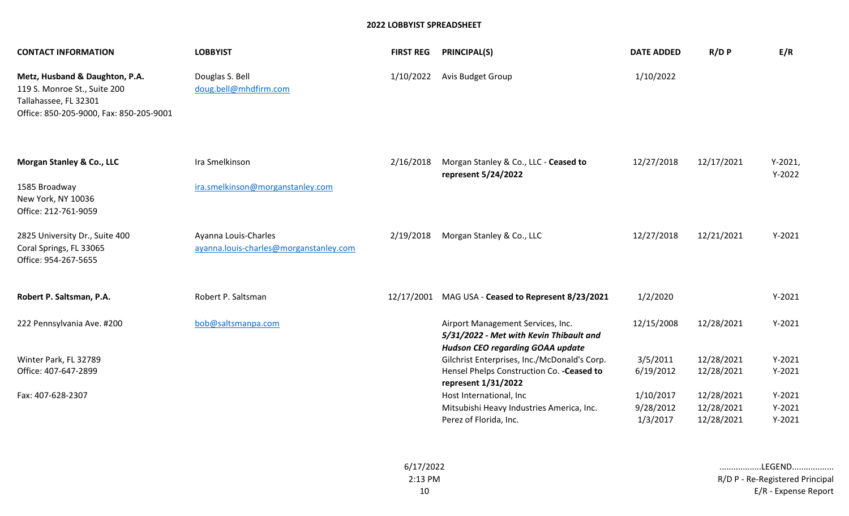| <b>CONTACT INFORMATION</b>                                                                                                         | <b>LOBBYIST</b>                                                | <b>FIRST REG</b> | <b>PRINCIPAL(S)</b>                                                                                                     | <b>DATE ADDED</b>                  | $R/D$ $P$                              | E/R                              |
|------------------------------------------------------------------------------------------------------------------------------------|----------------------------------------------------------------|------------------|-------------------------------------------------------------------------------------------------------------------------|------------------------------------|----------------------------------------|----------------------------------|
| Metz, Husband & Daughton, P.A.<br>119 S. Monroe St., Suite 200<br>Tallahassee, FL 32301<br>Office: 850-205-9000, Fax: 850-205-9001 | Douglas S. Bell<br>doug.bell@mhdfirm.com                       | 1/10/2022        | Avis Budget Group                                                                                                       | 1/10/2022                          |                                        |                                  |
| Morgan Stanley & Co., LLC                                                                                                          | Ira Smelkinson                                                 | 2/16/2018        | Morgan Stanley & Co., LLC - Ceased to<br>represent 5/24/2022                                                            | 12/27/2018                         | 12/17/2021                             | $Y-2021,$<br>$Y-2022$            |
| 1585 Broadway<br>New York, NY 10036<br>Office: 212-761-9059                                                                        | ira.smelkinson@morganstanley.com                               |                  |                                                                                                                         |                                    |                                        |                                  |
| 2825 University Dr., Suite 400<br>Coral Springs, FL 33065<br>Office: 954-267-5655                                                  | Ayanna Louis-Charles<br>ayanna.louis-charles@morganstanley.com | 2/19/2018        | Morgan Stanley & Co., LLC                                                                                               | 12/27/2018                         | 12/21/2021                             | $Y-2021$                         |
| Robert P. Saltsman, P.A.                                                                                                           | Robert P. Saltsman                                             |                  | 12/17/2001 MAG USA - Ceased to Represent 8/23/2021                                                                      | 1/2/2020                           |                                        | $Y-2021$                         |
| 222 Pennsylvania Ave. #200                                                                                                         | bob@saltsmanpa.com                                             |                  | Airport Management Services, Inc.<br>5/31/2022 - Met with Kevin Thibault and<br><b>Hudson CEO regarding GOAA update</b> | 12/15/2008                         | 12/28/2021                             | $Y-2021$                         |
| Winter Park, FL 32789<br>Office: 407-647-2899                                                                                      |                                                                |                  | Gilchrist Enterprises, Inc./McDonald's Corp.<br>Hensel Phelps Construction Co. - Ceased to<br>represent 1/31/2022       | 3/5/2011<br>6/19/2012              | 12/28/2021<br>12/28/2021               | $Y-2021$<br>$Y-2021$             |
| Fax: 407-628-2307                                                                                                                  |                                                                |                  | Host International, Inc<br>Mitsubishi Heavy Industries America, Inc.<br>Perez of Florida, Inc.                          | 1/10/2017<br>9/28/2012<br>1/3/2017 | 12/28/2021<br>12/28/2021<br>12/28/2021 | $Y-2021$<br>$Y-2021$<br>$Y-2021$ |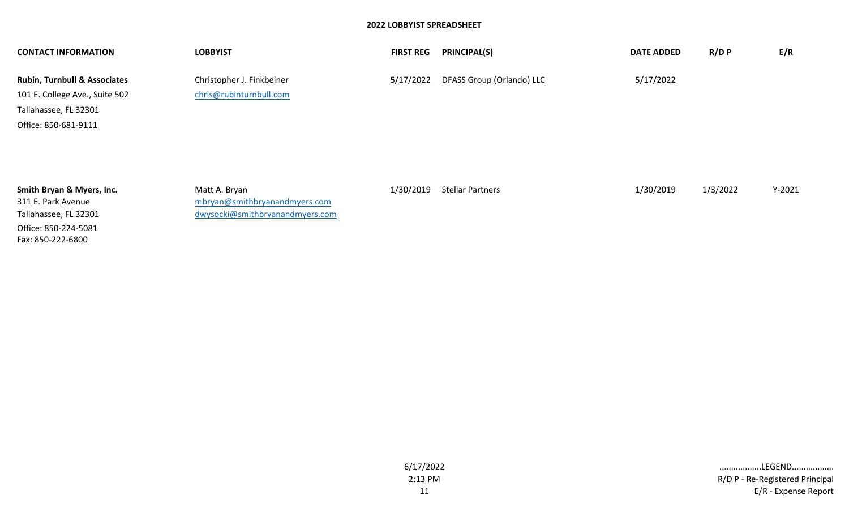| <b>CONTACT INFORMATION</b>              | <b>LOBBYIST</b>                 | <b>FIRST REG</b> | <b>PRINCIPAL(S)</b>       | <b>DATE ADDED</b> | R/D P    | E/R      |
|-----------------------------------------|---------------------------------|------------------|---------------------------|-------------------|----------|----------|
| <b>Rubin, Turnbull &amp; Associates</b> | Christopher J. Finkbeiner       | 5/17/2022        | DFASS Group (Orlando) LLC | 5/17/2022         |          |          |
| 101 E. College Ave., Suite 502          | chris@rubinturnbull.com         |                  |                           |                   |          |          |
| Tallahassee, FL 32301                   |                                 |                  |                           |                   |          |          |
| Office: 850-681-9111                    |                                 |                  |                           |                   |          |          |
|                                         |                                 |                  |                           |                   |          |          |
|                                         |                                 |                  |                           |                   |          |          |
|                                         |                                 |                  |                           |                   |          |          |
| Smith Bryan & Myers, Inc.               | Matt A. Bryan                   | 1/30/2019        | <b>Stellar Partners</b>   | 1/30/2019         | 1/3/2022 | $Y-2021$ |
| 311 E. Park Avenue                      | mbryan@smithbryanandmyers.com   |                  |                           |                   |          |          |
| Tallahassee, FL 32301                   | dwysocki@smithbryanandmyers.com |                  |                           |                   |          |          |

Office: 850-224-5081 Fax: 850-222-6800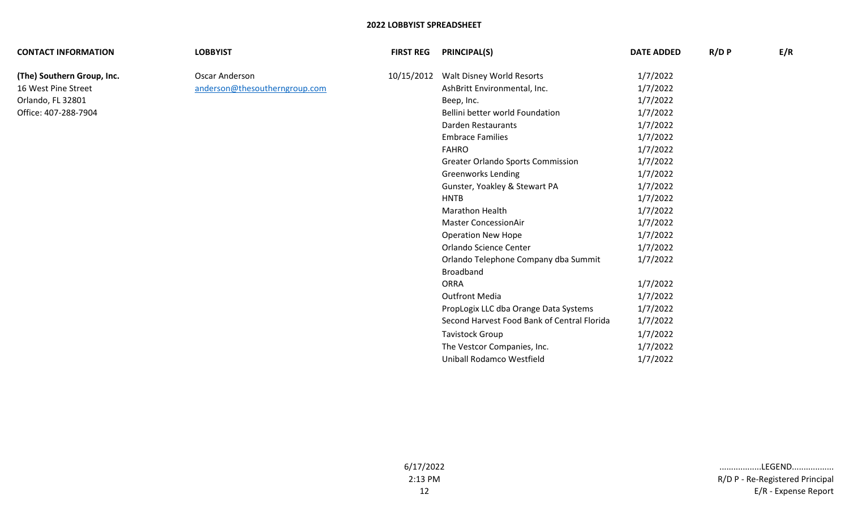| <b>CONTACT INFORMATION</b> | <b>LOBBYIST</b>               | <b>FIRST REG</b> | <b>PRINCIPAL(S)</b>                         | <b>DATE ADDED</b> | R/D P | E/R |
|----------------------------|-------------------------------|------------------|---------------------------------------------|-------------------|-------|-----|
| (The) Southern Group, Inc. | Oscar Anderson                | 10/15/2012       | Walt Disney World Resorts                   | 1/7/2022          |       |     |
| 16 West Pine Street        | anderson@thesoutherngroup.com |                  | AshBritt Environmental, Inc.                | 1/7/2022          |       |     |
| Orlando, FL 32801          |                               |                  | Beep, Inc.                                  | 1/7/2022          |       |     |
| Office: 407-288-7904       |                               |                  | Bellini better world Foundation             | 1/7/2022          |       |     |
|                            |                               |                  | Darden Restaurants                          | 1/7/2022          |       |     |
|                            |                               |                  | <b>Embrace Families</b>                     | 1/7/2022          |       |     |
|                            |                               |                  | <b>FAHRO</b>                                | 1/7/2022          |       |     |
|                            |                               |                  | <b>Greater Orlando Sports Commission</b>    | 1/7/2022          |       |     |
|                            |                               |                  | <b>Greenworks Lending</b>                   | 1/7/2022          |       |     |
|                            |                               |                  | Gunster, Yoakley & Stewart PA               | 1/7/2022          |       |     |
|                            |                               |                  | <b>HNTB</b>                                 | 1/7/2022          |       |     |
|                            |                               |                  | Marathon Health                             | 1/7/2022          |       |     |
|                            |                               |                  | <b>Master ConcessionAir</b>                 | 1/7/2022          |       |     |
|                            |                               |                  | <b>Operation New Hope</b>                   | 1/7/2022          |       |     |
|                            |                               |                  | Orlando Science Center                      | 1/7/2022          |       |     |
|                            |                               |                  | Orlando Telephone Company dba Summit        | 1/7/2022          |       |     |
|                            |                               |                  | <b>Broadband</b>                            |                   |       |     |
|                            |                               |                  | <b>ORRA</b>                                 | 1/7/2022          |       |     |
|                            |                               |                  | <b>Outfront Media</b>                       | 1/7/2022          |       |     |
|                            |                               |                  | PropLogix LLC dba Orange Data Systems       | 1/7/2022          |       |     |
|                            |                               |                  | Second Harvest Food Bank of Central Florida | 1/7/2022          |       |     |
|                            |                               |                  | <b>Tavistock Group</b>                      | 1/7/2022          |       |     |
|                            |                               |                  | The Vestcor Companies, Inc.                 | 1/7/2022          |       |     |
|                            |                               |                  | Uniball Rodamco Westfield                   | 1/7/2022          |       |     |
|                            |                               |                  |                                             |                   |       |     |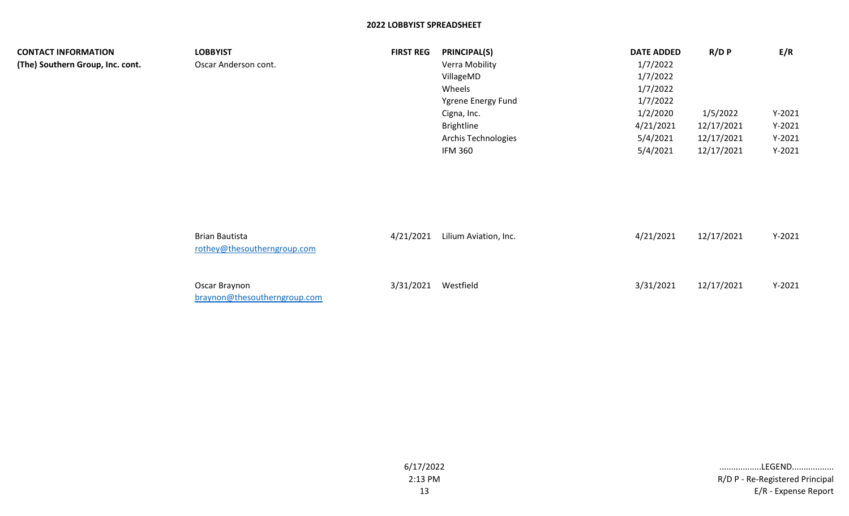| <b>CONTACT INFORMATION</b>       | <b>LOBBYIST</b>                                      | <b>FIRST REG</b> | <b>PRINCIPAL(S)</b>   | <b>DATE ADDED</b> | R/D P      | E/R      |
|----------------------------------|------------------------------------------------------|------------------|-----------------------|-------------------|------------|----------|
| (The) Southern Group, Inc. cont. | Oscar Anderson cont.                                 |                  | Verra Mobility        | 1/7/2022          |            |          |
|                                  |                                                      |                  | VillageMD             | 1/7/2022          |            |          |
|                                  |                                                      |                  | Wheels                | 1/7/2022          |            |          |
|                                  |                                                      |                  | Ygrene Energy Fund    | 1/7/2022          |            |          |
|                                  |                                                      |                  | Cigna, Inc.           | 1/2/2020          | 1/5/2022   | $Y-2021$ |
|                                  |                                                      |                  | <b>Brightline</b>     | 4/21/2021         | 12/17/2021 | $Y-2021$ |
|                                  |                                                      |                  | Archis Technologies   | 5/4/2021          | 12/17/2021 | $Y-2021$ |
|                                  |                                                      |                  | <b>IFM 360</b>        | 5/4/2021          | 12/17/2021 | $Y-2021$ |
|                                  |                                                      |                  |                       |                   |            |          |
|                                  | <b>Brian Bautista</b><br>rothey@thesoutherngroup.com | 4/21/2021        | Lilium Aviation, Inc. | 4/21/2021         | 12/17/2021 | $Y-2021$ |

| Oscar Braynon                | 3/31/2021 Westfield | 3/31/2021 12/17/2021 | $Y-2021$ |
|------------------------------|---------------------|----------------------|----------|
| braynon@thesoutherngroup.com |                     |                      |          |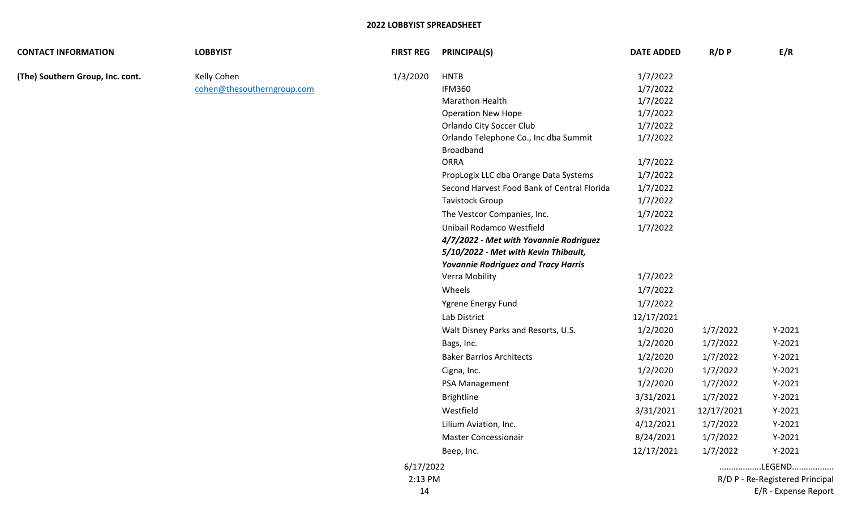| <b>CONTACT INFORMATION</b>       | <b>LOBBYIST</b>            | <b>FIRST REG</b> | <b>PRINCIPAL(S)</b>                         | <b>DATE ADDED</b> | $R/D$ $P$  | E/R                             |
|----------------------------------|----------------------------|------------------|---------------------------------------------|-------------------|------------|---------------------------------|
| (The) Southern Group, Inc. cont. | Kelly Cohen                | 1/3/2020         | <b>HNTB</b>                                 | 1/7/2022          |            |                                 |
|                                  | cohen@thesoutherngroup.com |                  | <b>IFM360</b>                               | 1/7/2022          |            |                                 |
|                                  |                            |                  | <b>Marathon Health</b>                      | 1/7/2022          |            |                                 |
|                                  |                            |                  | <b>Operation New Hope</b>                   | 1/7/2022          |            |                                 |
|                                  |                            |                  | <b>Orlando City Soccer Club</b>             | 1/7/2022          |            |                                 |
|                                  |                            |                  | Orlando Telephone Co., Inc dba Summit       | 1/7/2022          |            |                                 |
|                                  |                            |                  | <b>Broadband</b>                            |                   |            |                                 |
|                                  |                            |                  | <b>ORRA</b>                                 | 1/7/2022          |            |                                 |
|                                  |                            |                  | PropLogix LLC dba Orange Data Systems       | 1/7/2022          |            |                                 |
|                                  |                            |                  | Second Harvest Food Bank of Central Florida | 1/7/2022          |            |                                 |
|                                  |                            |                  | <b>Tavistock Group</b>                      | 1/7/2022          |            |                                 |
|                                  |                            |                  | The Vestcor Companies, Inc.                 | 1/7/2022          |            |                                 |
|                                  |                            |                  | Unibail Rodamco Westfield                   | 1/7/2022          |            |                                 |
|                                  |                            |                  | 4/7/2022 - Met with Yovannie Rodriguez      |                   |            |                                 |
|                                  |                            |                  | 5/10/2022 - Met with Kevin Thibault,        |                   |            |                                 |
|                                  |                            |                  | <b>Yovannie Rodriguez and Tracy Harris</b>  |                   |            |                                 |
|                                  |                            |                  | Verra Mobility                              | 1/7/2022          |            |                                 |
|                                  |                            |                  | Wheels                                      | 1/7/2022          |            |                                 |
|                                  |                            |                  | Ygrene Energy Fund                          | 1/7/2022          |            |                                 |
|                                  |                            |                  | Lab District                                | 12/17/2021        |            |                                 |
|                                  |                            |                  | Walt Disney Parks and Resorts, U.S.         | 1/2/2020          | 1/7/2022   | $Y-2021$                        |
|                                  |                            |                  | Bags, Inc.                                  | 1/2/2020          | 1/7/2022   | $Y-2021$                        |
|                                  |                            |                  | <b>Baker Barrios Architects</b>             | 1/2/2020          | 1/7/2022   | $Y-2021$                        |
|                                  |                            |                  | Cigna, Inc.                                 | 1/2/2020          | 1/7/2022   | $Y-2021$                        |
|                                  |                            |                  | PSA Management                              | 1/2/2020          | 1/7/2022   | $Y-2021$                        |
|                                  |                            |                  | Brightline                                  | 3/31/2021         | 1/7/2022   | $Y-2021$                        |
|                                  |                            |                  | Westfield                                   | 3/31/2021         | 12/17/2021 | $Y-2021$                        |
|                                  |                            |                  | Lilium Aviation, Inc.                       | 4/12/2021         | 1/7/2022   | $Y-2021$                        |
|                                  |                            |                  | <b>Master Concessionair</b>                 | 8/24/2021         | 1/7/2022   | $Y-2021$                        |
|                                  |                            |                  | Beep, Inc.                                  | 12/17/2021        | 1/7/2022   | $Y-2021$                        |
|                                  |                            | 6/17/2022        |                                             |                   |            | LEGEND                          |
|                                  |                            | 2:13 PM          |                                             |                   |            | R/D P - Re-Registered Principal |
|                                  |                            | 14               |                                             |                   |            | E/R - Expense Report            |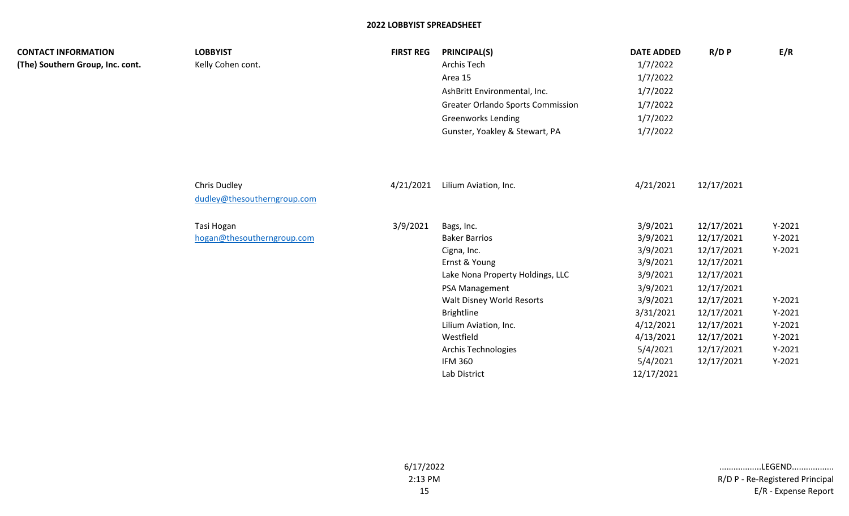| <b>CONTACT INFORMATION</b><br>(The) Southern Group, Inc. cont. | <b>LOBBYIST</b><br>Kelly Cohen cont.        | <b>FIRST REG</b> | <b>PRINCIPAL(S)</b><br>Archis Tech<br>Area 15<br>AshBritt Environmental, Inc.<br><b>Greater Orlando Sports Commission</b><br><b>Greenworks Lending</b><br>Gunster, Yoakley & Stewart, PA                                                                                  | <b>DATE ADDED</b><br>1/7/2022<br>1/7/2022<br>1/7/2022<br>1/7/2022<br>1/7/2022<br>1/7/2022                                                                     | R/D P                                                                                                                                                                | E/R                                                                                                      |
|----------------------------------------------------------------|---------------------------------------------|------------------|---------------------------------------------------------------------------------------------------------------------------------------------------------------------------------------------------------------------------------------------------------------------------|---------------------------------------------------------------------------------------------------------------------------------------------------------------|----------------------------------------------------------------------------------------------------------------------------------------------------------------------|----------------------------------------------------------------------------------------------------------|
|                                                                | Chris Dudley<br>dudley@thesoutherngroup.com | 4/21/2021        | Lilium Aviation, Inc.                                                                                                                                                                                                                                                     | 4/21/2021                                                                                                                                                     | 12/17/2021                                                                                                                                                           |                                                                                                          |
|                                                                | Tasi Hogan<br>hogan@thesoutherngroup.com    | 3/9/2021         | Bags, Inc.<br><b>Baker Barrios</b><br>Cigna, Inc.<br>Ernst & Young<br>Lake Nona Property Holdings, LLC<br>PSA Management<br>Walt Disney World Resorts<br>Brightline<br>Lilium Aviation, Inc.<br>Westfield<br><b>Archis Technologies</b><br><b>IFM 360</b><br>Lab District | 3/9/2021<br>3/9/2021<br>3/9/2021<br>3/9/2021<br>3/9/2021<br>3/9/2021<br>3/9/2021<br>3/31/2021<br>4/12/2021<br>4/13/2021<br>5/4/2021<br>5/4/2021<br>12/17/2021 | 12/17/2021<br>12/17/2021<br>12/17/2021<br>12/17/2021<br>12/17/2021<br>12/17/2021<br>12/17/2021<br>12/17/2021<br>12/17/2021<br>12/17/2021<br>12/17/2021<br>12/17/2021 | $Y-2021$<br>$Y-2021$<br>$Y-2021$<br>$Y-2021$<br>$Y-2021$<br>$Y-2021$<br>$Y-2021$<br>$Y-2021$<br>$Y-2021$ |